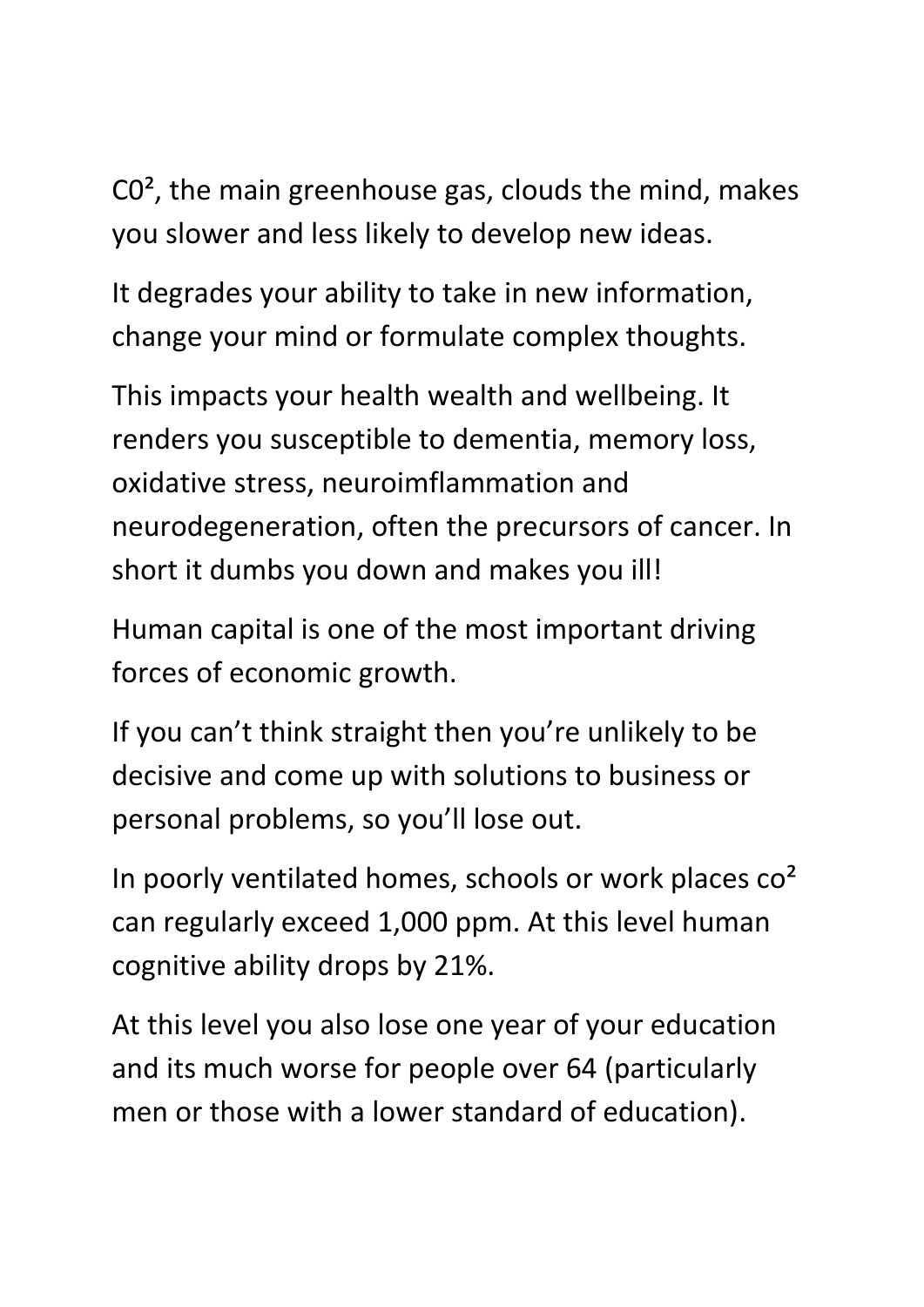C0², the main greenhouse gas, clouds the mind, makes you slower and less likely to develop new ideas.

It degrades your ability to take in new information, change your mind or formulate complex thoughts.

This impacts your health wealth and wellbeing. It renders you susceptible to dementia, memory loss, oxidative stress, neuroimflammation and neurodegeneration, often the precursors of cancer. In short it dumbs you down and makes you ill!

Human capital is one of the most important driving forces of economic growth.

If you can't think straight then you're unlikely to be decisive and come up with solutions to business or personal problems, so you'll lose out.

In poorly ventilated homes, schools or work places co<sup>2</sup> can regularly exceed 1,000 ppm. At this level human cognitive ability drops by 21%.

At this level you also lose one year of your education and its much worse for people over 64 (particularly men or those with a lower standard of education).